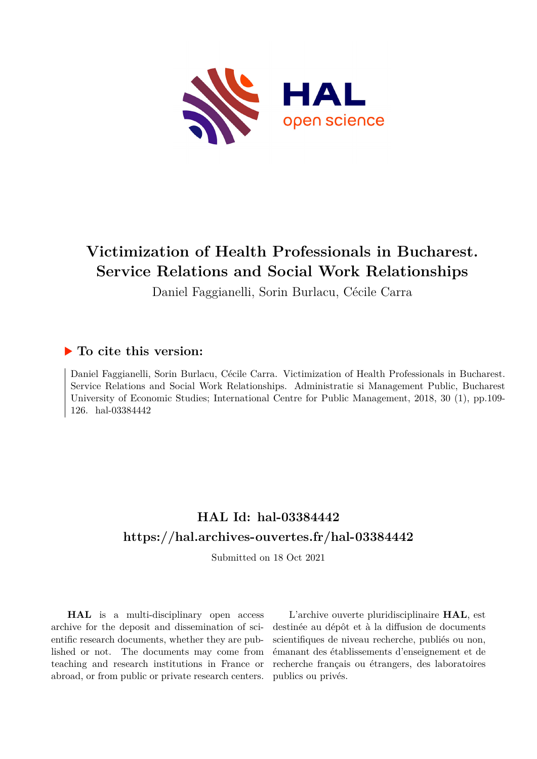

# **Victimization of Health Professionals in Bucharest. Service Relations and Social Work Relationships**

Daniel Faggianelli, Sorin Burlacu, Cécile Carra

## **To cite this version:**

Daniel Faggianelli, Sorin Burlacu, Cécile Carra. Victimization of Health Professionals in Bucharest. Service Relations and Social Work Relationships. Administratie si Management Public, Bucharest University of Economic Studies; International Centre for Public Management, 2018, 30 (1), pp.109- 126. hal-03384442

## **HAL Id: hal-03384442 <https://hal.archives-ouvertes.fr/hal-03384442>**

Submitted on 18 Oct 2021

**HAL** is a multi-disciplinary open access archive for the deposit and dissemination of scientific research documents, whether they are published or not. The documents may come from teaching and research institutions in France or abroad, or from public or private research centers.

L'archive ouverte pluridisciplinaire **HAL**, est destinée au dépôt et à la diffusion de documents scientifiques de niveau recherche, publiés ou non, émanant des établissements d'enseignement et de recherche français ou étrangers, des laboratoires publics ou privés.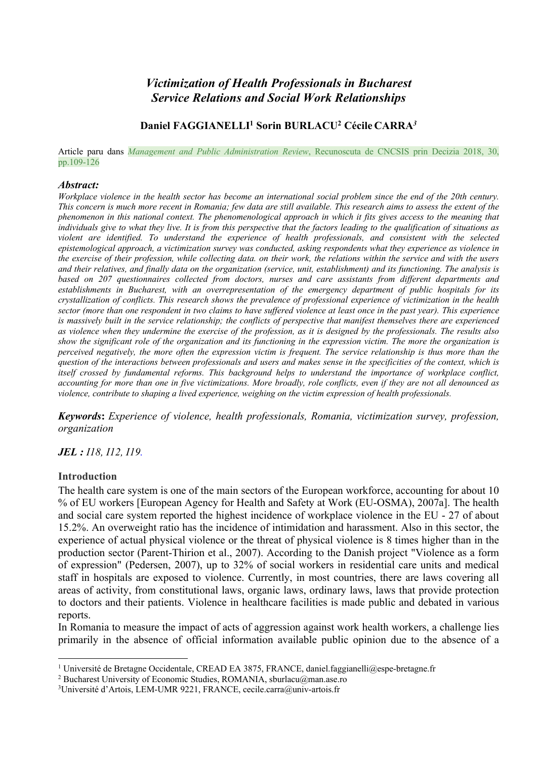## *Victimization of Health Professionals in Bucharest Service Relations and Social Work Relationships*

### **Daniel FAGGIANELLI1 Sorin BURLACU2 Cécile CARRA***<sup>3</sup>*

Article paru dans *Management and Public Administration Review*, Recunoscuta de CNCSIS prin Decizia 2018, 30, pp.109-126

#### *Abstract:*

*Workplace violence in the health sector has become an international social problem since the end of the 20th century. This concern is much more recent in Romania; few data are still available. This research aims to assess the extent of the phenomenon in this national context. The phenomenological approach in which it fits gives access to the meaning that individuals give to what they live. It is from this perspective that the factors leading to the qualification of situations as violent are identified. To understand the experience of health professionals, and consistent with the selected epistemological approach, a victimization survey was conducted, asking respondents what they experience as violence in the exercise of their profession, while collecting data. on their work, the relations within the service and with the users and their relatives, and finally data on the organization (service, unit, establishment) and its functioning. The analysis is based on 207 questionnaires collected from doctors, nurses and care assistants from different departments and establishments in Bucharest, with an overrepresentation of the emergency department of public hospitals for its crystallization of conflicts. This research shows the prevalence of professional experience of victimization in the health sector (more than one respondent in two claims to have suffered violence at least once in the past year). This experience is massively built in the service relationship; the conflicts of perspective that manifest themselves there are experienced as violence when they undermine the exercise of the profession, as it is designed by the professionals. The results also show the significant role of the organization and its functioning in the expression victim. The more the organization is perceived negatively, the more often the expression victim is frequent. The service relationship is thus more than the question of the interactions between professionals and users and makes sense in the specificities of the context, which is itself crossed by fundamental reforms. This background helps to understand the importance of workplace conflict, accounting for more than one in five victimizations. More broadly, role conflicts, even if they are not all denounced as violence, contribute to shaping a lived experience, weighing on the victim expression of health professionals.*

*Keywords***:** *Experience of violence, health professionals, Romania, victimization survey, profession, organization*

#### *JEL : I18, I12, I19.*

#### **Introduction**

The health care system is one of the main sectors of the European workforce, accounting for about 10 % of EU workers [European Agency for Health and Safety at Work (EU-OSMA), 2007a]. The health and social care system reported the highest incidence of workplace violence in the EU - 27 of about 15.2%. An overweight ratio has the incidence of intimidation and harassment. Also in this sector, the experience of actual physical violence or the threat of physical violence is 8 times higher than in the production sector (Parent-Thirion et al., 2007). According to the Danish project "Violence as a form of expression" (Pedersen, 2007), up to 32% of social workers in residential care units and medical staff in hospitals are exposed to violence. Currently, in most countries, there are laws covering all areas of activity, from constitutional laws, organic laws, ordinary laws, laws that provide protection to doctors and their patients. Violence in healthcare facilities is made public and debated in various reports.

In Romania to measure the impact of acts of aggression against work health workers, a challenge lies primarily in the absence of official information available public opinion due to the absence of a

<sup>&</sup>lt;sup>1</sup> Université de Bretagne Occidentale, CREAD EA 3875, FRANCE, daniel.faggianelli@espe-bretagne.fr

<sup>2</sup> Bucharest University of Economic Studies, ROMANIA, sburlacu@man.ase.ro

<sup>&</sup>lt;sup>3</sup>Université d'Artois, LEM-UMR 9221, FRANCE, cecile.carra@univ-artois.fr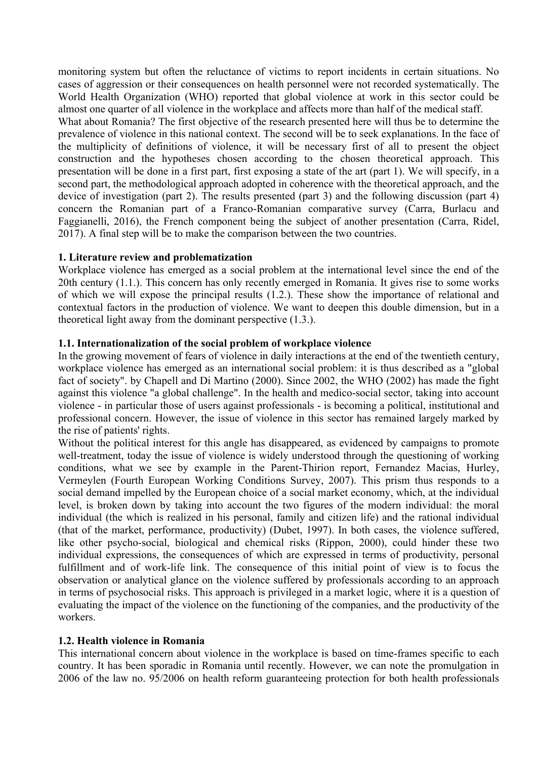monitoring system but often the reluctance of victims to report incidents in certain situations. No cases of aggression or their consequences on health personnel were not recorded systematically. The World Health Organization (WHO) reported that global violence at work in this sector could be almost one quarter of all violence in the workplace and affects more than half of the medical staff.

What about Romania? The first objective of the research presented here will thus be to determine the prevalence of violence in this national context. The second will be to seek explanations. In the face of the multiplicity of definitions of violence, it will be necessary first of all to present the object construction and the hypotheses chosen according to the chosen theoretical approach. This presentation will be done in a first part, first exposing a state of the art (part 1). We will specify, in a second part, the methodological approach adopted in coherence with the theoretical approach, and the device of investigation (part 2). The results presented (part 3) and the following discussion (part 4) concern the Romanian part of a Franco-Romanian comparative survey (Carra, Burlacu and Faggianelli, 2016), the French component being the subject of another presentation (Carra, Ridel, 2017). A final step will be to make the comparison between the two countries.

#### **1. Literature review and problematization**

Workplace violence has emerged as a social problem at the international level since the end of the 20th century (1.1.). This concern has only recently emerged in Romania. It gives rise to some works of which we will expose the principal results (1.2.). These show the importance of relational and contextual factors in the production of violence. We want to deepen this double dimension, but in a theoretical light away from the dominant perspective (1.3.).

#### **1.1. Internationalization of the social problem of workplace violence**

In the growing movement of fears of violence in daily interactions at the end of the twentieth century, workplace violence has emerged as an international social problem: it is thus described as a "global fact of society". by Chapell and Di Martino (2000). Since 2002, the WHO (2002) has made the fight against this violence "a global challenge". In the health and medico-social sector, taking into account violence - in particular those of users against professionals - is becoming a political, institutional and professional concern. However, the issue of violence in this sector has remained largely marked by the rise of patients' rights.

Without the political interest for this angle has disappeared, as evidenced by campaigns to promote well-treatment, today the issue of violence is widely understood through the questioning of working conditions, what we see by example in the Parent-Thirion report, Fernandez Macias, Hurley, Vermeylen (Fourth European Working Conditions Survey, 2007). This prism thus responds to a social demand impelled by the European choice of a social market economy, which, at the individual level, is broken down by taking into account the two figures of the modern individual: the moral individual (the which is realized in his personal, family and citizen life) and the rational individual (that of the market, performance, productivity) (Dubet, 1997). In both cases, the violence suffered, like other psycho-social, biological and chemical risks (Rippon, 2000), could hinder these two individual expressions, the consequences of which are expressed in terms of productivity, personal fulfillment and of work-life link. The consequence of this initial point of view is to focus the observation or analytical glance on the violence suffered by professionals according to an approach in terms of psychosocial risks. This approach is privileged in a market logic, where it is a question of evaluating the impact of the violence on the functioning of the companies, and the productivity of the workers.

#### **1.2. Health violence in Romania**

This international concern about violence in the workplace is based on time-frames specific to each country. It has been sporadic in Romania until recently. However, we can note the promulgation in 2006 of the law no. 95/2006 on health reform guaranteeing protection for both health professionals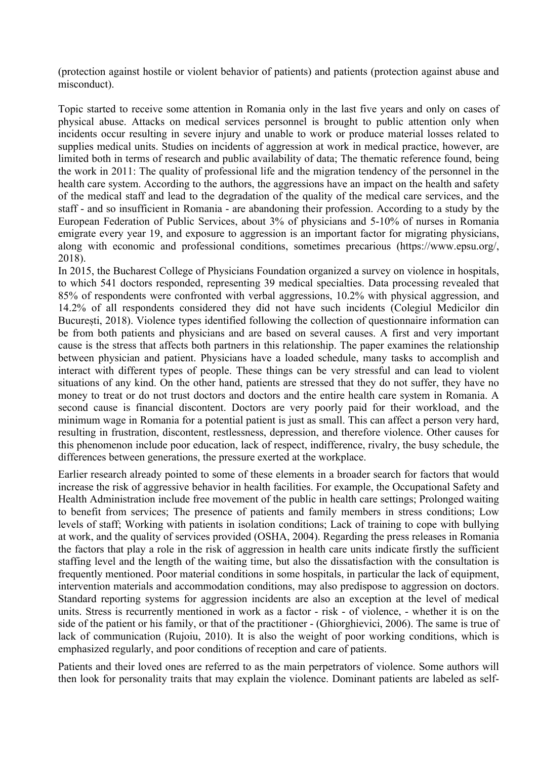(protection against hostile or violent behavior of patients) and patients (protection against abuse and misconduct).

Topic started to receive some attention in Romania only in the last five years and only on cases of physical abuse. Attacks on medical services personnel is brought to public attention only when incidents occur resulting in severe injury and unable to work or produce material losses related to supplies medical units. Studies on incidents of aggression at work in medical practice, however, are limited both in terms of research and public availability of data; The thematic reference found, being the work in 2011: The quality of professional life and the migration tendency of the personnel in the health care system. According to the authors, the aggressions have an impact on the health and safety of the medical staff and lead to the degradation of the quality of the medical care services, and the staff - and so insufficient in Romania - are abandoning their profession. According to a study by the European Federation of Public Services, about 3% of physicians and 5-10% of nurses in Romania emigrate every year 19, and exposure to aggression is an important factor for migrating physicians, along with economic and professional conditions, sometimes precarious (https://www.epsu.org/, 2018).

In 2015, the Bucharest College of Physicians Foundation organized a survey on violence in hospitals, to which 541 doctors responded, representing 39 medical specialties. Data processing revealed that 85% of respondents were confronted with verbal aggressions, 10.2% with physical aggression, and 14.2% of all respondents considered they did not have such incidents (Colegiul Medicilor din București, 2018). Violence types identified following the collection of questionnaire information can be from both patients and physicians and are based on several causes. A first and very important cause is the stress that affects both partners in this relationship. The paper examines the relationship between physician and patient. Physicians have a loaded schedule, many tasks to accomplish and interact with different types of people. These things can be very stressful and can lead to violent situations of any kind. On the other hand, patients are stressed that they do not suffer, they have no money to treat or do not trust doctors and doctors and the entire health care system in Romania. A second cause is financial discontent. Doctors are very poorly paid for their workload, and the minimum wage in Romania for a potential patient is just as small. This can affect a person very hard, resulting in frustration, discontent, restlessness, depression, and therefore violence. Other causes for this phenomenon include poor education, lack of respect, indifference, rivalry, the busy schedule, the differences between generations, the pressure exerted at the workplace.

Earlier research already pointed to some of these elements in a broader search for factors that would increase the risk of aggressive behavior in health facilities. For example, the Occupational Safety and Health Administration include free movement of the public in health care settings; Prolonged waiting to benefit from services; The presence of patients and family members in stress conditions; Low levels of staff; Working with patients in isolation conditions; Lack of training to cope with bullying at work, and the quality of services provided (OSHA, 2004). Regarding the press releases in Romania the factors that play a role in the risk of aggression in health care units indicate firstly the sufficient staffing level and the length of the waiting time, but also the dissatisfaction with the consultation is frequently mentioned. Poor material conditions in some hospitals, in particular the lack of equipment, intervention materials and accommodation conditions, may also predispose to aggression on doctors. Standard reporting systems for aggression incidents are also an exception at the level of medical units. Stress is recurrently mentioned in work as a factor - risk - of violence, - whether it is on the side of the patient or his family, or that of the practitioner - (Ghiorghievici, 2006). The same is true of lack of communication (Rujoiu, 2010). It is also the weight of poor working conditions, which is emphasized regularly, and poor conditions of reception and care of patients.

Patients and their loved ones are referred to as the main perpetrators of violence. Some authors will then look for personality traits that may explain the violence. Dominant patients are labeled as self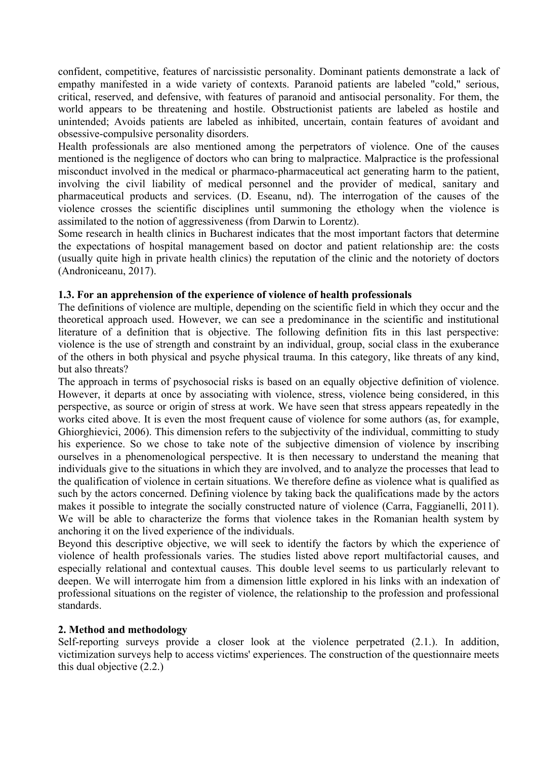confident, competitive, features of narcissistic personality. Dominant patients demonstrate a lack of empathy manifested in a wide variety of contexts. Paranoid patients are labeled "cold," serious, critical, reserved, and defensive, with features of paranoid and antisocial personality. For them, the world appears to be threatening and hostile. Obstructionist patients are labeled as hostile and unintended; Avoids patients are labeled as inhibited, uncertain, contain features of avoidant and obsessive-compulsive personality disorders.

Health professionals are also mentioned among the perpetrators of violence. One of the causes mentioned is the negligence of doctors who can bring to malpractice. Malpractice is the professional misconduct involved in the medical or pharmaco-pharmaceutical act generating harm to the patient, involving the civil liability of medical personnel and the provider of medical, sanitary and pharmaceutical products and services. (D. Eseanu, nd). The interrogation of the causes of the violence crosses the scientific disciplines until summoning the ethology when the violence is assimilated to the notion of aggressiveness (from Darwin to Lorentz).

Some research in health clinics in Bucharest indicates that the most important factors that determine the expectations of hospital management based on doctor and patient relationship are: the costs (usually quite high in private health clinics) the reputation of the clinic and the notoriety of doctors (Androniceanu, 2017).

#### **1.3. For an apprehension of the experience of violence of health professionals**

The definitions of violence are multiple, depending on the scientific field in which they occur and the theoretical approach used. However, we can see a predominance in the scientific and institutional literature of a definition that is objective. The following definition fits in this last perspective: violence is the use of strength and constraint by an individual, group, social class in the exuberance of the others in both physical and psyche physical trauma. In this category, like threats of any kind, but also threats?

The approach in terms of psychosocial risks is based on an equally objective definition of violence. However, it departs at once by associating with violence, stress, violence being considered, in this perspective, as source or origin of stress at work. We have seen that stress appears repeatedly in the works cited above. It is even the most frequent cause of violence for some authors (as, for example, Ghiorghievici, 2006). This dimension refers to the subjectivity of the individual, committing to study his experience. So we chose to take note of the subjective dimension of violence by inscribing ourselves in a phenomenological perspective. It is then necessary to understand the meaning that individuals give to the situations in which they are involved, and to analyze the processes that lead to the qualification of violence in certain situations. We therefore define as violence what is qualified as such by the actors concerned. Defining violence by taking back the qualifications made by the actors makes it possible to integrate the socially constructed nature of violence (Carra, Faggianelli, 2011). We will be able to characterize the forms that violence takes in the Romanian health system by anchoring it on the lived experience of the individuals.

Beyond this descriptive objective, we will seek to identify the factors by which the experience of violence of health professionals varies. The studies listed above report multifactorial causes, and especially relational and contextual causes. This double level seems to us particularly relevant to deepen. We will interrogate him from a dimension little explored in his links with an indexation of professional situations on the register of violence, the relationship to the profession and professional standards.

#### **2. Method and methodology**

Self-reporting surveys provide a closer look at the violence perpetrated (2.1.). In addition, victimization surveys help to access victims' experiences. The construction of the questionnaire meets this dual objective (2.2.)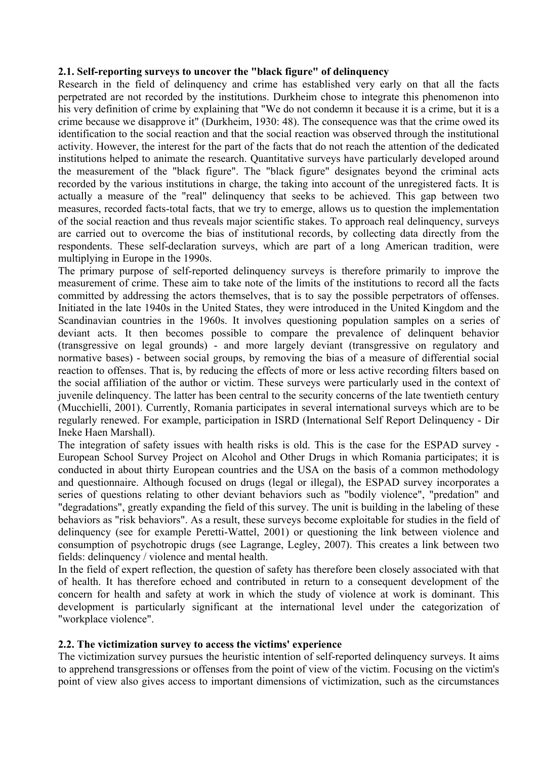#### **2.1. Self-reporting surveys to uncover the "black figure" of delinquency**

Research in the field of delinquency and crime has established very early on that all the facts perpetrated are not recorded by the institutions. Durkheim chose to integrate this phenomenon into his very definition of crime by explaining that "We do not condemn it because it is a crime, but it is a crime because we disapprove it" (Durkheim, 1930: 48). The consequence was that the crime owed its identification to the social reaction and that the social reaction was observed through the institutional activity. However, the interest for the part of the facts that do not reach the attention of the dedicated institutions helped to animate the research. Quantitative surveys have particularly developed around the measurement of the "black figure". The "black figure" designates beyond the criminal acts recorded by the various institutions in charge, the taking into account of the unregistered facts. It is actually a measure of the "real" delinquency that seeks to be achieved. This gap between two measures, recorded facts-total facts, that we try to emerge, allows us to question the implementation of the social reaction and thus reveals major scientific stakes. To approach real delinquency, surveys are carried out to overcome the bias of institutional records, by collecting data directly from the respondents. These self-declaration surveys, which are part of a long American tradition, were multiplying in Europe in the 1990s.

The primary purpose of self-reported delinquency surveys is therefore primarily to improve the measurement of crime. These aim to take note of the limits of the institutions to record all the facts committed by addressing the actors themselves, that is to say the possible perpetrators of offenses. Initiated in the late 1940s in the United States, they were introduced in the United Kingdom and the Scandinavian countries in the 1960s. It involves questioning population samples on a series of deviant acts. It then becomes possible to compare the prevalence of delinquent behavior (transgressive on legal grounds) - and more largely deviant (transgressive on regulatory and normative bases) - between social groups, by removing the bias of a measure of differential social reaction to offenses. That is, by reducing the effects of more or less active recording filters based on the social affiliation of the author or victim. These surveys were particularly used in the context of juvenile delinquency. The latter has been central to the security concerns of the late twentieth century (Mucchielli, 2001). Currently, Romania participates in several international surveys which are to be regularly renewed. For example, participation in ISRD (International Self Report Delinquency - Dir Ineke Haen Marshall).

The integration of safety issues with health risks is old. This is the case for the ESPAD survey - European School Survey Project on Alcohol and Other Drugs in which Romania participates; it is conducted in about thirty European countries and the USA on the basis of a common methodology and questionnaire. Although focused on drugs (legal or illegal), the ESPAD survey incorporates a series of questions relating to other deviant behaviors such as "bodily violence", "predation" and "degradations", greatly expanding the field of this survey. The unit is building in the labeling of these behaviors as "risk behaviors". As a result, these surveys become exploitable for studies in the field of delinquency (see for example Peretti-Wattel, 2001) or questioning the link between violence and consumption of psychotropic drugs (see Lagrange, Legley, 2007). This creates a link between two fields: delinquency / violence and mental health.

In the field of expert reflection, the question of safety has therefore been closely associated with that of health. It has therefore echoed and contributed in return to a consequent development of the concern for health and safety at work in which the study of violence at work is dominant. This development is particularly significant at the international level under the categorization of "workplace violence".

#### **2.2. The victimization survey to access the victims' experience**

The victimization survey pursues the heuristic intention of self-reported delinquency surveys. It aims to apprehend transgressions or offenses from the point of view of the victim. Focusing on the victim's point of view also gives access to important dimensions of victimization, such as the circumstances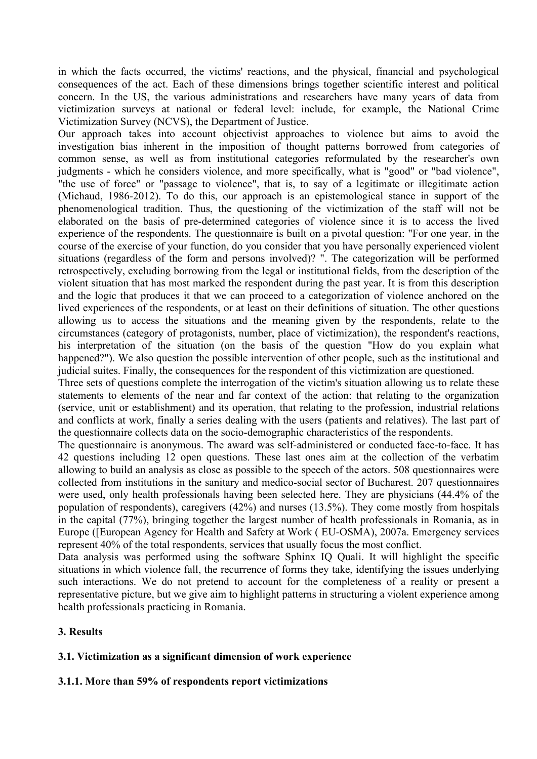in which the facts occurred, the victims' reactions, and the physical, financial and psychological consequences of the act. Each of these dimensions brings together scientific interest and political concern. In the US, the various administrations and researchers have many years of data from victimization surveys at national or federal level: include, for example, the National Crime Victimization Survey (NCVS), the Department of Justice.

Our approach takes into account objectivist approaches to violence but aims to avoid the investigation bias inherent in the imposition of thought patterns borrowed from categories of common sense, as well as from institutional categories reformulated by the researcher's own judgments - which he considers violence, and more specifically, what is "good" or "bad violence", "the use of force" or "passage to violence", that is, to say of a legitimate or illegitimate action (Michaud, 1986-2012). To do this, our approach is an epistemological stance in support of the phenomenological tradition. Thus, the questioning of the victimization of the staff will not be elaborated on the basis of pre-determined categories of violence since it is to access the lived experience of the respondents. The questionnaire is built on a pivotal question: "For one year, in the course of the exercise of your function, do you consider that you have personally experienced violent situations (regardless of the form and persons involved)? ". The categorization will be performed retrospectively, excluding borrowing from the legal or institutional fields, from the description of the violent situation that has most marked the respondent during the past year. It is from this description and the logic that produces it that we can proceed to a categorization of violence anchored on the lived experiences of the respondents, or at least on their definitions of situation. The other questions allowing us to access the situations and the meaning given by the respondents, relate to the circumstances (category of protagonists, number, place of victimization), the respondent's reactions, his interpretation of the situation (on the basis of the question "How do you explain what happened?"). We also question the possible intervention of other people, such as the institutional and judicial suites. Finally, the consequences for the respondent of this victimization are questioned.

Three sets of questions complete the interrogation of the victim's situation allowing us to relate these statements to elements of the near and far context of the action: that relating to the organization (service, unit or establishment) and its operation, that relating to the profession, industrial relations and conflicts at work, finally a series dealing with the users (patients and relatives). The last part of the questionnaire collects data on the socio-demographic characteristics of the respondents.

The questionnaire is anonymous. The award was self-administered or conducted face-to-face. It has 42 questions including 12 open questions. These last ones aim at the collection of the verbatim allowing to build an analysis as close as possible to the speech of the actors. 508 questionnaires were collected from institutions in the sanitary and medico-social sector of Bucharest. 207 questionnaires were used, only health professionals having been selected here. They are physicians (44.4% of the population of respondents), caregivers (42%) and nurses (13.5%). They come mostly from hospitals in the capital (77%), bringing together the largest number of health professionals in Romania, as in Europe ([European Agency for Health and Safety at Work ( EU-OSMA), 2007a. Emergency services represent 40% of the total respondents, services that usually focus the most conflict.

Data analysis was performed using the software Sphinx IQ Quali. It will highlight the specific situations in which violence fall, the recurrence of forms they take, identifying the issues underlying such interactions. We do not pretend to account for the completeness of a reality or present a representative picture, but we give aim to highlight patterns in structuring a violent experience among health professionals practicing in Romania.

#### **3. Results**

#### **3.1. Victimization as a significant dimension of work experience**

#### **3.1.1. More than 59% of respondents report victimizations**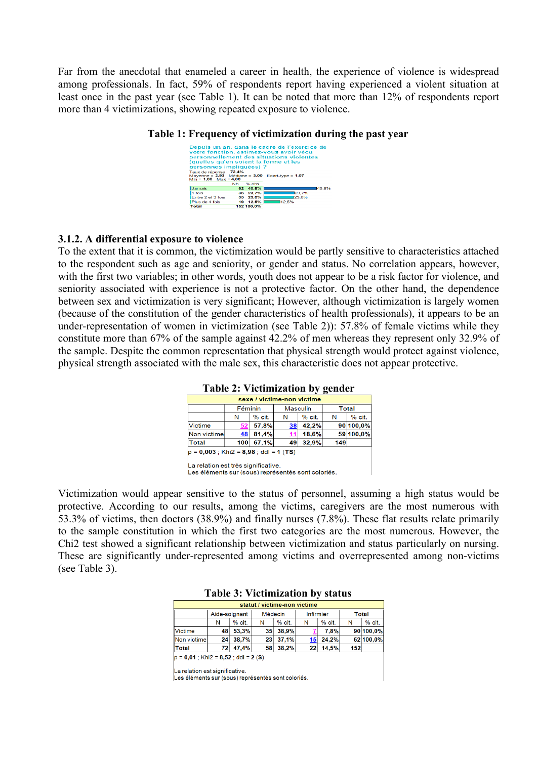Far from the anecdotal that enameled a career in health, the experience of violence is widespread among professionals. In fact, 59% of respondents report having experienced a violent situation at least once in the past year (see Table 1). It can be noted that more than 12% of respondents report more than 4 victimizations, showing repeated exposure to violence.



#### **3.1.2. A differential exposure to violence**

To the extent that it is common, the victimization would be partly sensitive to characteristics attached to the respondent such as age and seniority, or gender and status. No correlation appears, however, with the first two variables; in other words, youth does not appear to be a risk factor for violence, and seniority associated with experience is not a protective factor. On the other hand, the dependence between sex and victimization is very significant; However, although victimization is largely women (because of the constitution of the gender characteristics of health professionals), it appears to be an under-representation of women in victimization (see Table 2)): 57.8% of female victims while they constitute more than 67% of the sample against 42.2% of men whereas they represent only 32.9% of the sample. Despite the common representation that physical strength would protect against violence, physical strength associated with the male sex, this characteristic does not appear protective.

| sexe / victime-non victime |         |          |                 |        |              |           |  |  |  |
|----------------------------|---------|----------|-----------------|--------|--------------|-----------|--|--|--|
|                            | Féminin |          | <b>Masculin</b> |        | <b>Total</b> |           |  |  |  |
|                            | N       | $%$ cit. | Ν               | % cit. | N            | $%$ cit.  |  |  |  |
| <b>Victime</b>             | 52      | 57,8%    | 38              | 42.2%  |              | 90 100.0% |  |  |  |
| Non victime                | 48      | 81,4%    | 11              | 18,6%  |              | 59 100,0% |  |  |  |
| <b>Total</b>               | 100     | 67,1%    | 49              | 32,9%  | 149          |           |  |  |  |

#### **Table 2: Victimization by gender**

La relation est très significative. Les éléments sur (sous) représentés sont coloriés.

Victimization would appear sensitive to the status of personnel, assuming a high status would be protective. According to our results, among the victims, caregivers are the most numerous with 53.3% of victims, then doctors (38.9%) and finally nurses (7.8%). These flat results relate primarily to the sample constitution in which the first two categories are the most numerous. However, the Chi2 test showed a significant relationship between victimization and status particularly on nursing. These are significantly under-represented among victims and overrepresented among non-victims (see Table 3).

#### **Table 3: Victimization by status**

|                                        |     |               |                 | statut / victime-non victime |                 |          |     |              |
|----------------------------------------|-----|---------------|-----------------|------------------------------|-----------------|----------|-----|--------------|
|                                        |     | Aide-soignant | Médecin         |                              | Infirmier       |          |     | <b>Total</b> |
|                                        | N   | $%$ cit.      | N               | % cit.                       | N               | $%$ cit. | N   | $%$ cit.     |
| <b>Victime</b>                         | 48  | 53.3%         | 35 <sup>1</sup> | 38.9%                        |                 | 7,8%     |     | 90 100,0%    |
| Non victime                            | 241 | 38,7%         | 231             | 37,1%                        | 15              | 24,2%    |     | 62 100,0%    |
| Total                                  | 721 | 47,4%         | 58 <sup>1</sup> | 38,2%                        | 22 <sub>1</sub> | 14,5%    | 152 |              |
| $ p = 0.01$ ; Khi2 = 8,52; ddl = 2 (S) |     |               |                 |                              |                 |          |     |              |

La relation est significative.

Les éléments sur (sous) représentés sont coloriés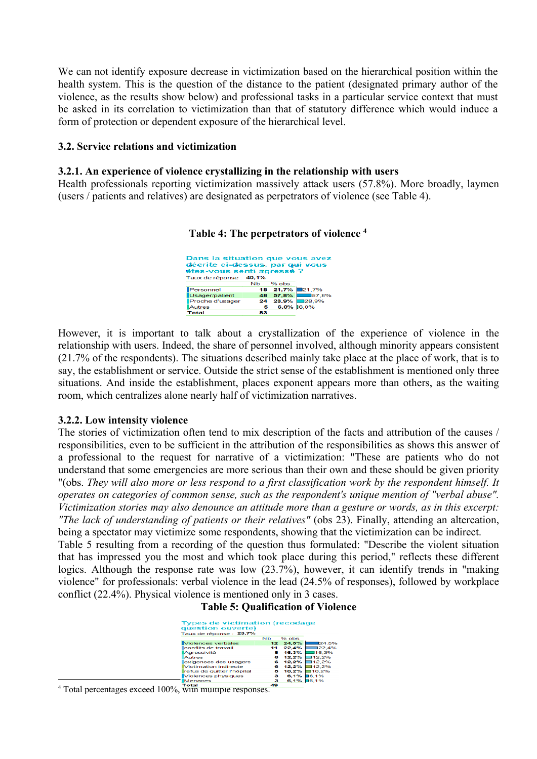We can not identify exposure decrease in victimization based on the hierarchical position within the health system. This is the question of the distance to the patient (designated primary author of the violence, as the results show below) and professional tasks in a particular service context that must be asked in its correlation to victimization than that of statutory difference which would induce a form of protection or dependent exposure of the hierarchical level.

#### **3.2. Service relations and victimization**

#### **3.2.1. An experience of violence crystallizing in the relationship with users**

Health professionals reporting victimization massively attack users (57.8%). More broadly, laymen (users / patients and relatives) are designated as perpetrators of violence (see Table 4).

**Table 4: The perpetrators of violence <sup>4</sup>**

| Dans la situation que vous avez<br>fécrite ci-dessus, par qui vous<br>étes-vous senti agressé ?<br>aux de réponse : 40,1% |    |          |                |  |  |  |  |  |
|---------------------------------------------------------------------------------------------------------------------------|----|----------|----------------|--|--|--|--|--|
|                                                                                                                           | NЬ | $%$ obs. |                |  |  |  |  |  |
| Personnel                                                                                                                 |    |          | 18 21,7% 21,7% |  |  |  |  |  |
| Usager/patient                                                                                                            |    | 48 57,8% | $\Box$ 57.8%   |  |  |  |  |  |
| Proche d'usager                                                                                                           |    | 24 28,9% | $\Box$ 28.9%   |  |  |  |  |  |
| <b>Autres</b>                                                                                                             | 5  |          | $6.0\%$ 16.0%  |  |  |  |  |  |
| Fotal                                                                                                                     | яa |          |                |  |  |  |  |  |

However, it is important to talk about a crystallization of the experience of violence in the relationship with users. Indeed, the share of personnel involved, although minority appears consistent (21.7% of the respondents). The situations described mainly take place at the place of work, that is to say, the establishment or service. Outside the strict sense of the establishment is mentioned only three situations. And inside the establishment, places exponent appears more than others, as the waiting room, which centralizes alone nearly half of victimization narratives.

#### **3.2.2. Low intensity violence**

The stories of victimization often tend to mix description of the facts and attribution of the causes / responsibilities, even to be sufficient in the attribution of the responsibilities as shows this answer of a professional to the request for narrative of a victimization: "These are patients who do not understand that some emergencies are more serious than their own and these should be given priority "(obs. *They will also more or less respond to a first classification work by the respondent himself. It operates on categories of common sense, such as the respondent's unique mention of "verbal abuse". Victimization stories may also denounce an attitude more than a gesture or words, as in this excerpt: "The lack of understanding of patients or their relatives"* (obs 23). Finally, attending an altercation, being a spectator may victimize some respondents, showing that the victimization can be indirect.

Table 5 resulting from a recording of the question thus formulated: "Describe the violent situation that has impressed you the most and which took place during this period," reflects these different logics. Although the response rate was low (23.7%), however, it can identify trends in "making violence" for professionals: verbal violence in the lead (24.5% of responses), followed by workplace conflict (22.4%). Physical violence is mentioned only in 3 cases.

**Table 5: Qualification of Violence**

| <b>Types de victimation (recodage</b><br>question ouverte) |                      |     |        |              |
|------------------------------------------------------------|----------------------|-----|--------|--------------|
| Taux de réponse : 23,7%                                    |                      |     |        |              |
|                                                            | <b>N<sub>b</sub></b> |     | % obs. |              |
| Violences verbales                                         |                      | 12  | 24.5%  | 124.5%       |
| conflits de travail                                        |                      | 11  | 22.4%  | 122.4%       |
| Aaressivité                                                |                      | 8   | 16.3%  | $\Box$ 16.3% |
| Autres                                                     |                      | 6   | 12.2%  | 112.2%       |
| exigences des usagers                                      |                      | в   | 12.2%  | 112.2%       |
| Victimation indirecte                                      |                      | в   | 12.2%  | 112.2%       |
| refus de quitter l'hôpital                                 |                      | 5   | 10.2%  | 10,2%        |
| Violences physiques                                        |                      | з   | 6.1%   | 16.1%        |
| <b>Menaces</b>                                             |                      | з   | 6.1%   | 16.1%        |
| Total                                                      |                      | 49. |        |              |

<sup>4</sup> Total percentages exceed 100%, with multiple responses.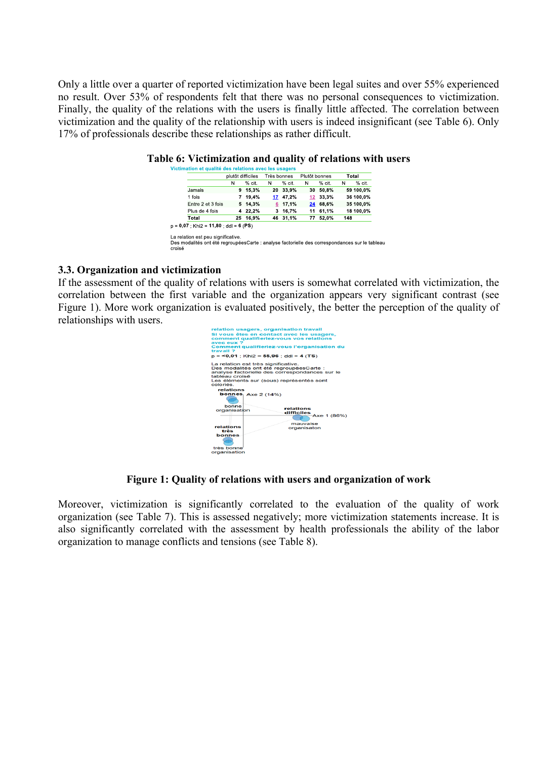Only a little over a quarter of reported victimization have been legal suites and over 55% experienced no result. Over 53% of respondents felt that there was no personal consequences to victimization. Finally, the quality of the relations with the users is finally little affected. The correlation between victimization and the quality of the relationship with users is indeed insignificant (see Table 6). Only 17% of professionals describe these relationships as rather difficult.

|                   | plutôt difficiles |          | Très bonnes |              | Plutôt bonnes   |          | Total |           |
|-------------------|-------------------|----------|-------------|--------------|-----------------|----------|-------|-----------|
|                   | N                 | $%$ cit. | Ν           | % cit.       | Ν               | $%$ cit. | Ν     | % cit.    |
| Jamais            |                   | 9 15.3%  |             | 20 33,9%     |                 | 30 50,8% |       | 59 100,0% |
| 1 fois            | 7                 | 19.4%    |             | 17 47.2%     | 12 <sup>2</sup> | 33.3%    |       | 36 100.0% |
| Entre 2 et 3 fois |                   | 5 14.3%  |             | 6 17.1%      |                 | 24 68.6% |       | 35 100.0% |
| Plus de 4 fois    | 4                 | 22,2%    |             | $3, 16, 7\%$ | 11              | 61.1%    |       | 18 100,0% |
| Total             |                   | 25 16.9% |             | 46 31,1%     | 77              | 52.0%    | 148   |           |

#### **Table 6: Victimization and quality of relations with users**

#### **3.3. Organization and victimization**

If the assessment of the quality of relations with users is somewhat correlated with victimization, the correlation between the first variable and the organization appears very significant contrast (see Figure 1). More work organization is evaluated positively, the better the perception of the quality of relationships with users.



#### **Figure 1: Quality of relations with users and organization of work**

Moreover, victimization is significantly correlated to the evaluation of the quality of work organization (see Table 7). This is assessed negatively; more victimization statements increase. It is also significantly correlated with the assessment by health professionals the ability of the labor organization to manage conflicts and tensions (see Table 8).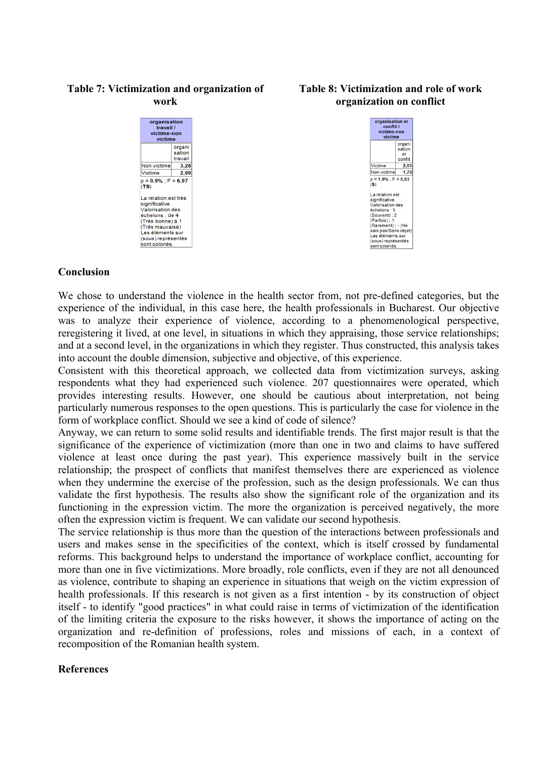#### organisation travail / victime-non victime organi sation travail Non victime  $-3.28$ Victime  $2,99$  $p = 0.9\%$ ; F = 6.97<br>(TS) La relation est très significative Valorisation des<br>échelons : de 4 (Très bonne) à 1 .<br>(Très mauvaise) Les mauvaises

(sous) représentés sont coloriés.

**Table 7: Victimization and organization of work**

#### **Table 8: Victimization and role of work organization on conflict**



#### **Conclusion**

We chose to understand the violence in the health sector from, not pre-defined categories, but the experience of the individual, in this case here, the health professionals in Bucharest. Our objective was to analyze their experience of violence, according to a phenomenological perspective, reregistering it lived, at one level, in situations in which they appraising, those service relationships; and at a second level, in the organizations in which they register. Thus constructed, this analysis takes into account the double dimension, subjective and objective, of this experience.

Consistent with this theoretical approach, we collected data from victimization surveys, asking respondents what they had experienced such violence. 207 questionnaires were operated, which provides interesting results. However, one should be cautious about interpretation, not being particularly numerous responses to the open questions. This is particularly the case for violence in the form of workplace conflict. Should we see a kind of code of silence?

Anyway, we can return to some solid results and identifiable trends. The first major result is that the significance of the experience of victimization (more than one in two and claims to have suffered violence at least once during the past year). This experience massively built in the service relationship; the prospect of conflicts that manifest themselves there are experienced as violence when they undermine the exercise of the profession, such as the design professionals. We can thus validate the first hypothesis. The results also show the significant role of the organization and its functioning in the expression victim. The more the organization is perceived negatively, the more often the expression victim is frequent. We can validate our second hypothesis.

The service relationship is thus more than the question of the interactions between professionals and users and makes sense in the specificities of the context, which is itself crossed by fundamental reforms. This background helps to understand the importance of workplace conflict, accounting for more than one in five victimizations. More broadly, role conflicts, even if they are not all denounced as violence, contribute to shaping an experience in situations that weigh on the victim expression of health professionals. If this research is not given as a first intention - by its construction of object itself - to identify "good practices" in what could raise in terms of victimization of the identification of the limiting criteria the exposure to the risks however, it shows the importance of acting on the organization and re-definition of professions, roles and missions of each, in a context of recomposition of the Romanian health system.

#### **References**